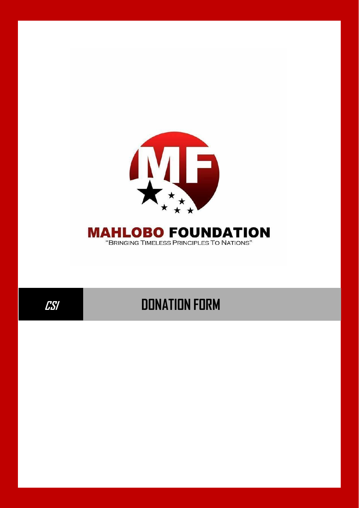

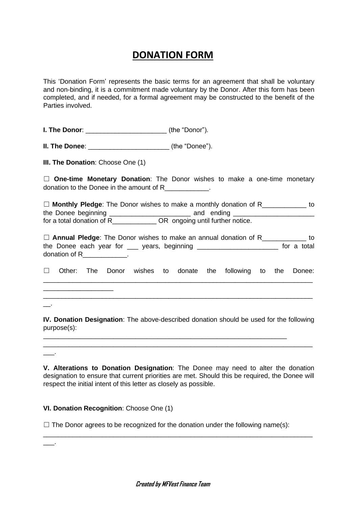# **DONATION FORM**

This 'Donation Form' represents the basic terms for an agreement that shall be voluntary and non-binding, it is a commitment made voluntary by the Donor. After this form has been completed, and if needed, for a formal agreement may be constructed to the benefit of the Parties involved.

**I. The Donor**: \_\_\_\_\_\_\_\_\_\_\_\_\_\_\_\_\_\_\_\_\_\_ (the "Donor").

**II. The Donee:**  $(the "Donee").$ 

**III. The Donation**: Choose One (1)

☐ **One-time Monetary Donation**: The Donor wishes to make a one-time monetary donation to the Donee in the amount of R\_\_\_\_\_\_\_\_\_\_\_\_.

☐ **Monthly Pledge**: The Donor wishes to make a monthly donation of R\_\_\_\_\_\_\_\_\_\_\_\_ to the Donee beginning the Donee beginning the state of the state of the state of the state of the state of the state of the state of the state of the state of the state of the state of the state of the state of the state of for a total donation of R COR ongoing until further notice.

☐ **Annual Pledge**: The Donor wishes to make an annual donation of R\_\_\_\_\_\_\_\_\_\_\_\_ to the Donee each year for \_\_\_ years, beginning \_\_\_\_\_\_\_\_\_\_\_\_\_\_\_\_\_\_\_\_\_\_\_\_ for a total donation of R\_\_\_\_\_\_\_\_\_\_\_\_\_.

☐ Other: The Donor wishes to donate the following to the Donee: \_\_\_\_\_\_\_\_\_\_\_\_\_\_\_\_\_\_\_\_\_\_\_\_\_\_\_\_\_\_\_\_\_\_\_\_\_\_\_\_\_\_\_\_\_\_\_\_\_\_\_\_\_\_\_\_\_\_\_\_\_\_\_\_\_\_\_\_\_\_\_\_\_

\_\_\_\_\_\_\_\_\_\_\_\_\_\_\_\_\_\_\_\_\_\_\_\_\_\_\_\_\_\_\_\_\_\_\_\_\_\_\_\_\_\_\_\_\_\_\_\_\_\_\_\_\_\_\_\_\_\_\_\_\_\_\_\_\_\_\_\_\_\_\_\_\_

\_\_.

 $\overline{\phantom{a}}$ .

\_\_\_\_\_\_\_\_\_\_\_\_\_\_\_\_\_\_\_

**IV. Donation Designation**: The above-described donation should be used for the following purpose(s):

\_\_\_\_\_\_\_\_\_\_\_\_\_\_\_\_\_\_\_\_\_\_\_\_\_\_\_\_\_\_\_\_\_\_\_\_\_\_\_\_\_\_\_\_\_\_\_\_\_\_\_\_\_\_\_\_\_\_\_\_\_\_\_\_\_\_\_\_\_\_\_\_\_

\_\_\_\_\_\_\_\_\_\_\_\_\_\_\_\_\_\_\_\_\_\_\_\_\_\_\_\_\_\_\_\_\_\_\_\_\_\_\_\_\_\_\_\_\_\_\_\_\_\_\_\_\_\_\_\_\_\_\_\_\_\_\_\_\_\_

**V. Alterations to Donation Designation**: The Donee may need to alter the donation designation to ensure that current priorities are met. Should this be required, the Donee will respect the initial intent of this letter as closely as possible.

\_\_\_\_\_\_\_\_\_\_\_\_\_\_\_\_\_\_\_\_\_\_\_\_\_\_\_\_\_\_\_\_\_\_\_\_\_\_\_\_\_\_\_\_\_\_\_\_\_\_\_\_\_\_\_\_\_\_\_\_\_\_\_\_\_\_\_\_\_\_\_\_\_

### **VI. Donation Recognition**: Choose One (1)

 $\Box$  The Donor agrees to be recognized for the donation under the following name(s):

\_\_\_.